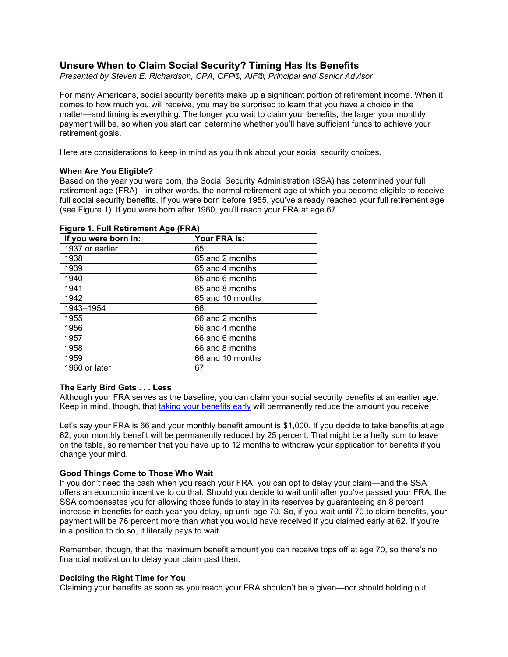# **Unsure When to Claim Social Security? Timing Has Its Benefits**

*Presented by Steven E. Richardson, CPA, CFP®, AIF®, Principal and Senior Advisor*

For many Americans, social security benefits make up a significant portion of retirement income. When it comes to how much you will receive, you may be surprised to learn that you have a choice in the matter—and timing is everything. The longer you wait to claim your benefits, the larger your monthly payment will be, so when you start can determine whether you'll have sufficient funds to achieve your retirement goals.

Here are considerations to keep in mind as you think about your social security choices.

### **When Are You Eligible?**

Based on the year you were born, the Social Security Administration (SSA) has determined your full retirement age (FRA)—in other words, the normal retirement age at which you become eligible to receive full social security benefits. If you were born before 1955, you've already reached your full retirement age (see Figure 1). If you were born after 1960, you'll reach your FRA at age 67.

### **Figure 1. Full Retirement Age (FRA)**

| If you were born in: | Your FRA is:     |
|----------------------|------------------|
| 1937 or earlier      | 65               |
| 1938                 | 65 and 2 months  |
| 1939                 | 65 and 4 months  |
| 1940                 | 65 and 6 months  |
| 1941                 | 65 and 8 months  |
| 1942                 | 65 and 10 months |
| 1943-1954            | 66               |
| 1955                 | 66 and 2 months  |
| 1956                 | 66 and 4 months  |
| 1957                 | 66 and 6 months  |
| 1958                 | 66 and 8 months  |
| 1959                 | 66 and 10 months |
| 1960 or later        | 67               |

## **The Early Bird Gets . . . Less**

Although your FRA serves as the baseline, you can claim your social security benefits at an earlier age. Keep in mind, though, that [taking your benefits early](https://www.ssa.gov/OACT/quickcalc/earlyretire.html) will permanently reduce the amount you receive.

Let's say your FRA is 66 and your monthly benefit amount is \$1,000. If you decide to take benefits at age 62, your monthly benefit will be permanently reduced by 25 percent. That might be a hefty sum to leave on the table, so remember that you have up to 12 months to withdraw your application for benefits if you change your mind.

#### **Good Things Come to Those Who Wait**

If you don't need the cash when you reach your FRA, you can opt to delay your claim—and the SSA offers an economic incentive to do that. Should you decide to wait until after you've passed your FRA, the SSA compensates you for allowing those funds to stay in its reserves by guaranteeing an 8 percent increase in benefits for each year you delay, up until age 70. So, if you wait until 70 to claim benefits, your payment will be 76 percent more than what you would have received if you claimed early at 62. If you're in a position to do so, it literally pays to wait.

Remember, though, that the maximum benefit amount you can receive tops off at age 70, so there's no financial motivation to delay your claim past then.

#### **Deciding the Right Time for You**

Claiming your benefits as soon as you reach your FRA shouldn't be a given—nor should holding out